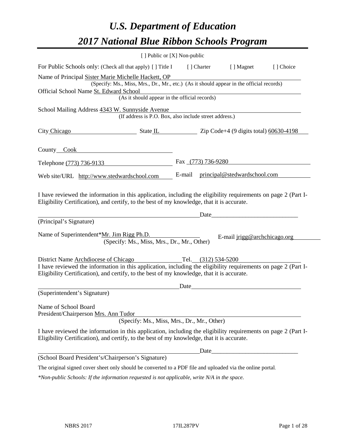# *U.S. Department of Education 2017 National Blue Ribbon Schools Program*

|                                                                                                                                                                                                                                                                          | [ ] Public or [X] Non-public |                    |                              |            |
|--------------------------------------------------------------------------------------------------------------------------------------------------------------------------------------------------------------------------------------------------------------------------|------------------------------|--------------------|------------------------------|------------|
| For Public Schools only: (Check all that apply) [ ] Title I                                                                                                                                                                                                              |                              | [ ] Charter        | [ ] Magnet                   | [ ] Choice |
| Name of Principal Sister Marie Michelle Hackett, OP<br>(Specify: Ms., Miss, Mrs., Dr., Mr., etc.) (As it should appear in the official records)                                                                                                                          |                              |                    |                              |            |
| Official School Name St. Edward School<br>(As it should appear in the official records)                                                                                                                                                                                  |                              |                    |                              |            |
| School Mailing Address 4343 W. Sunnyside Avenue<br>(If address is P.O. Box, also include street address.)                                                                                                                                                                |                              |                    |                              |            |
| City Chicago<br>$\frac{1}{2}$ State IL $\frac{1}{2}$ Zip Code+4 (9 digits total) 60630-4198                                                                                                                                                                              |                              |                    |                              |            |
| County Cook County Cook                                                                                                                                                                                                                                                  |                              |                    |                              |            |
| Telephone (773) 736-9133                                                                                                                                                                                                                                                 |                              | Fax (773) 736-9280 |                              |            |
| Web site/URL http://www.stedwardschool.com                                                                                                                                                                                                                               | E-mail                       |                    | principal@stedwardschool.com |            |
| I have reviewed the information in this application, including the eligibility requirements on page 2 (Part I-<br>Eligibility Certification), and certify, to the best of my knowledge, that it is accurate.<br>(Principal's Signature)                                  |                              | Date               |                              |            |
| Name of Superintendent*Mr. Jim Rigg Ph.D.<br>E-mail jrigg@archchicago.org<br>(Specify: Ms., Miss, Mrs., Dr., Mr., Other)                                                                                                                                                 |                              |                    |                              |            |
| District Name Archdiocese of Chicago Tel. (312) 534-5200<br>I have reviewed the information in this application, including the eligibility requirements on page 2 (Part I-<br>Eligibility Certification), and certify, to the best of my knowledge, that it is accurate. |                              |                    |                              |            |
| (Superintendent's Signature)                                                                                                                                                                                                                                             | Date                         |                    |                              |            |
| Name of School Board<br>President/Chairperson Mrs. Ann Tudor<br>(Specify: Ms., Miss, Mrs., Dr., Mr., Other)                                                                                                                                                              |                              |                    |                              |            |
| I have reviewed the information in this application, including the eligibility requirements on page 2 (Part I-<br>Eligibility Certification), and certify, to the best of my knowledge, that it is accurate.                                                             |                              |                    |                              |            |
|                                                                                                                                                                                                                                                                          |                              | Date               |                              |            |
| (School Board President's/Chairperson's Signature)                                                                                                                                                                                                                       |                              |                    |                              |            |
| The original signed cover sheet only should be converted to a PDF file and uploaded via the online portal.                                                                                                                                                               |                              |                    |                              |            |

*\*Non-public Schools: If the information requested is not applicable, write N/A in the space.*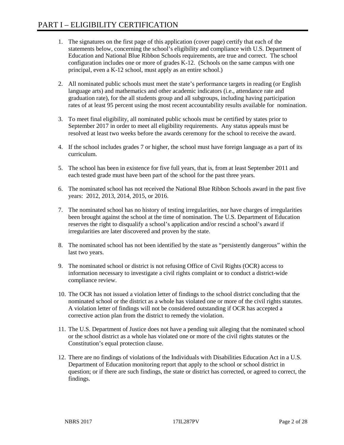- 1. The signatures on the first page of this application (cover page) certify that each of the statements below, concerning the school's eligibility and compliance with U.S. Department of Education and National Blue Ribbon Schools requirements, are true and correct. The school configuration includes one or more of grades K-12. (Schools on the same campus with one principal, even a K-12 school, must apply as an entire school.)
- 2. All nominated public schools must meet the state's performance targets in reading (or English language arts) and mathematics and other academic indicators (i.e., attendance rate and graduation rate), for the all students group and all subgroups, including having participation rates of at least 95 percent using the most recent accountability results available for nomination.
- 3. To meet final eligibility, all nominated public schools must be certified by states prior to September 2017 in order to meet all eligibility requirements. Any status appeals must be resolved at least two weeks before the awards ceremony for the school to receive the award.
- 4. If the school includes grades 7 or higher, the school must have foreign language as a part of its curriculum.
- 5. The school has been in existence for five full years, that is, from at least September 2011 and each tested grade must have been part of the school for the past three years.
- 6. The nominated school has not received the National Blue Ribbon Schools award in the past five years: 2012, 2013, 2014, 2015, or 2016.
- 7. The nominated school has no history of testing irregularities, nor have charges of irregularities been brought against the school at the time of nomination. The U.S. Department of Education reserves the right to disqualify a school's application and/or rescind a school's award if irregularities are later discovered and proven by the state.
- 8. The nominated school has not been identified by the state as "persistently dangerous" within the last two years.
- 9. The nominated school or district is not refusing Office of Civil Rights (OCR) access to information necessary to investigate a civil rights complaint or to conduct a district-wide compliance review.
- 10. The OCR has not issued a violation letter of findings to the school district concluding that the nominated school or the district as a whole has violated one or more of the civil rights statutes. A violation letter of findings will not be considered outstanding if OCR has accepted a corrective action plan from the district to remedy the violation.
- 11. The U.S. Department of Justice does not have a pending suit alleging that the nominated school or the school district as a whole has violated one or more of the civil rights statutes or the Constitution's equal protection clause.
- 12. There are no findings of violations of the Individuals with Disabilities Education Act in a U.S. Department of Education monitoring report that apply to the school or school district in question; or if there are such findings, the state or district has corrected, or agreed to correct, the findings.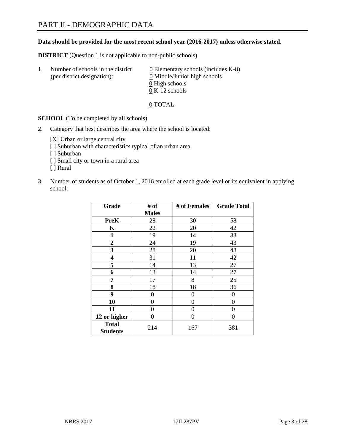#### **Data should be provided for the most recent school year (2016-2017) unless otherwise stated.**

**DISTRICT** (Question 1 is not applicable to non-public schools)

| -1. | Number of schools in the district<br>(per district designation): | $\underline{0}$ Elementary schools (includes K-8)<br>0 Middle/Junior high schools |
|-----|------------------------------------------------------------------|-----------------------------------------------------------------------------------|
|     |                                                                  | 0 High schools                                                                    |
|     |                                                                  | $0 K-12$ schools                                                                  |

0 TOTAL

**SCHOOL** (To be completed by all schools)

2. Category that best describes the area where the school is located:

[X] Urban or large central city [ ] Suburban with characteristics typical of an urban area

- [ ] Suburban
- [ ] Small city or town in a rural area
- [ ] Rural
- 3. Number of students as of October 1, 2016 enrolled at each grade level or its equivalent in applying school:

| Grade                           | # of         | # of Females | <b>Grade Total</b> |
|---------------------------------|--------------|--------------|--------------------|
|                                 | <b>Males</b> |              |                    |
| <b>PreK</b>                     | 28           | 30           | 58                 |
| $\mathbf K$                     | 22           | 20           | 42                 |
| $\mathbf{1}$                    | 19           | 14           | 33                 |
| $\boldsymbol{2}$                | 24           | 19           | 43                 |
| 3                               | 28           | 20           | 48                 |
| 4                               | 31           | 11           | 42                 |
| 5                               | 14           | 13           | 27                 |
| 6                               | 13           | 14           | 27                 |
| 7                               | 17           | 8            | 25                 |
| 8                               | 18           | 18           | 36                 |
| 9                               | 0            | 0            | $\Omega$           |
| 10                              | 0            | $\Omega$     | 0                  |
| 11                              | 0            | 0            | 0                  |
| 12 or higher                    | 0            | 0            | $\theta$           |
| <b>Total</b><br><b>Students</b> | 214          | 167          | 381                |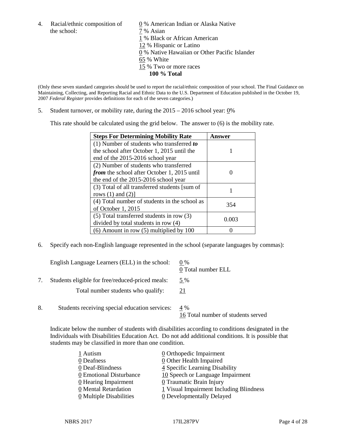the school:  $7\%$  Asian

4. Racial/ethnic composition of  $\qquad 0\%$  American Indian or Alaska Native 1 % Black or African American 12 % Hispanic or Latino 0 % Native Hawaiian or Other Pacific Islander 65 % White 15 % Two or more races **100 % Total**

(Only these seven standard categories should be used to report the racial/ethnic composition of your school. The Final Guidance on Maintaining, Collecting, and Reporting Racial and Ethnic Data to the U.S. Department of Education published in the October 19, 2007 *Federal Register* provides definitions for each of the seven categories.)

5. Student turnover, or mobility rate, during the 2015 – 2016 school year: 0%

This rate should be calculated using the grid below. The answer to (6) is the mobility rate.

| <b>Steps For Determining Mobility Rate</b>         | Answer |
|----------------------------------------------------|--------|
| $(1)$ Number of students who transferred to        |        |
| the school after October 1, 2015 until the         |        |
| end of the 2015-2016 school year                   |        |
| (2) Number of students who transferred             |        |
| <i>from</i> the school after October 1, 2015 until |        |
| the end of the 2015-2016 school year               |        |
| (3) Total of all transferred students [sum of      |        |
| rows $(1)$ and $(2)$ ]                             |        |
| (4) Total number of students in the school as      | 354    |
| of October 1, 2015                                 |        |
| $(5)$ Total transferred students in row $(3)$      | 0.003  |
| divided by total students in row (4)               |        |
| $(6)$ Amount in row $(5)$ multiplied by 100        |        |

6. Specify each non-English language represented in the school (separate languages by commas):

|    | English Language Learners (ELL) in the school:   | $0\%$<br>0 Total number ELL               |
|----|--------------------------------------------------|-------------------------------------------|
|    | Students eligible for free/reduced-priced meals: | 5 %                                       |
|    | Total number students who qualify:               | 21                                        |
| 8. | Students receiving special education services:   | 4 %<br>16 Total number of students served |

Indicate below the number of students with disabilities according to conditions designated in the Individuals with Disabilities Education Act. Do not add additional conditions. It is possible that students may be classified in more than one condition.

| $\underline{0}$ Orthopedic Impairment   |
|-----------------------------------------|
| 0 Other Health Impaired                 |
| 4 Specific Learning Disability          |
| 10 Speech or Language Impairment        |
| 0 Traumatic Brain Injury                |
| 1 Visual Impairment Including Blindness |
| <b>0</b> Developmentally Delayed        |
|                                         |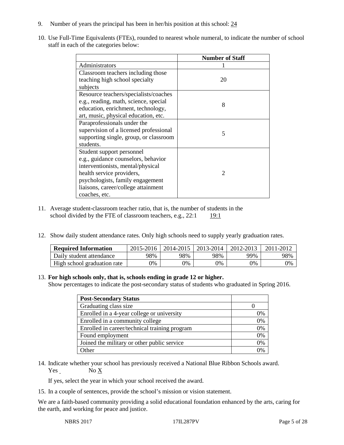- 9. Number of years the principal has been in her/his position at this school: 24
- 10. Use Full-Time Equivalents (FTEs), rounded to nearest whole numeral, to indicate the number of school staff in each of the categories below:

|                                        | <b>Number of Staff</b>   |
|----------------------------------------|--------------------------|
| Administrators                         |                          |
| Classroom teachers including those     |                          |
| teaching high school specialty         | 20                       |
| subjects                               |                          |
| Resource teachers/specialists/coaches  |                          |
| e.g., reading, math, science, special  | 8                        |
| education, enrichment, technology,     |                          |
| art, music, physical education, etc.   |                          |
| Paraprofessionals under the            |                          |
| supervision of a licensed professional | $\overline{\mathcal{L}}$ |
| supporting single, group, or classroom |                          |
| students.                              |                          |
| Student support personnel              |                          |
| e.g., guidance counselors, behavior    |                          |
| interventionists, mental/physical      |                          |
| health service providers,              | $\mathcal{D}$            |
| psychologists, family engagement       |                          |
| liaisons, career/college attainment    |                          |
| coaches, etc.                          |                          |

- 11. Average student-classroom teacher ratio, that is, the number of students in the school divided by the FTE of classroom teachers, e.g.,  $22:1$  19:1
- 12. Show daily student attendance rates. Only high schools need to supply yearly graduation rates.

| <b>Required Information</b> | $2015 - 2016$ |     | 2014-2015   2013-2014 | 2012-2013 | 2011-2012 |
|-----------------------------|---------------|-----|-----------------------|-----------|-----------|
| Daily student attendance    | 98%           | 98% | 98%                   | 99%       | 98%       |
| High school graduation rate | 9%            | 0%  | 0%                    | 9%        | 0%        |

#### 13. **For high schools only, that is, schools ending in grade 12 or higher.**

Show percentages to indicate the post-secondary status of students who graduated in Spring 2016.

| <b>Post-Secondary Status</b>                  |    |
|-----------------------------------------------|----|
| Graduating class size                         |    |
| Enrolled in a 4-year college or university    | 0% |
| Enrolled in a community college               | 0% |
| Enrolled in career/technical training program | 0% |
| Found employment                              | 0% |
| Joined the military or other public service   | 0% |
| )ther                                         | 0% |

14. Indicate whether your school has previously received a National Blue Ribbon Schools award. Yes No X

If yes, select the year in which your school received the award.

15. In a couple of sentences, provide the school's mission or vision statement.

We are a faith-based community providing a solid educational foundation enhanced by the arts, caring for the earth, and working for peace and justice.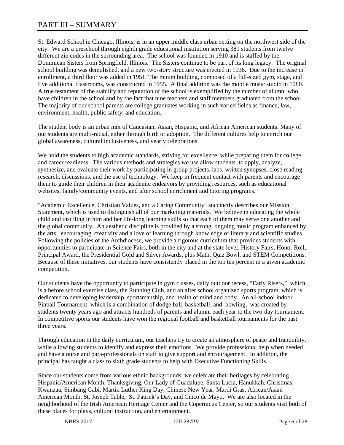St. Edward School in Chicago, Illinois, is in an upper middle class urban setting on the northwest side of the city. We are a preschool through eighth grade educational institution serving 381 students from twelve different zip codes in the surrounding area. The school was founded in 1910 and is staffed by the Dominican Sisters from Springfield, Illinois. The Sisters continue to be part of its long legacy. The original school building was demolished, and a new two-story structure was erected in 1938. Due to the increase in enrollment, a third floor was added in 1951. The minim building, composed of a full-sized gym, stage, and five additional classrooms, was constructed in 1955. A final addition was the mobile music studio in 1980. A true testament of the stability and reputation of the school is exemplified by the number of alumni who have children in the school and by the fact that nine teachers and staff members graduated from the school. The majority of our school parents are college graduates working in such varied fields as finance, law, environment, health, public safety, and education.

The student body is an urban mix of Caucasian, Asian, Hispanic, and African American students. Many of our students are multi-racial, either through birth or adoption. The different cultures help to enrich our global awareness, cultural inclusiveness, and yearly celebrations.

We hold the students to high academic standards, striving for excellence, while preparing them for college and career readiness. The various methods and strategies we use allow students to apply, analyze, synthesize, and evaluate their work by participating in group projects, labs, written synopses, close reading, research, discussions, and the use of technology. We keep in frequent contact with parents and encourage them to guide their children in their academic endeavors by providing resources, such as educational websites, family/community events, and after school enrichment and tutoring programs.

"Academic Excellence, Christian Values, and a Caring Community" succinctly describes our Mission Statement, which is used to distinguish all of our marketing materials. We believe in educating the whole child and instilling in him and her life-long learning skills so that each of them may serve one another and the global community. An aesthetic discipline is provided by a strong, ongoing music program enhanced by the arts, encouraging creativity and a love of learning through knowledge of literary and scientific studies. Following the policies of the Archdiocese, we provide a rigorous curriculum that provides students with opportunities to participate in Science Fairs, both in the city and at the state level, History Fairs, Honor Roll, Principal Award, the Presidential Gold and Silver Awards, plus Math, Quiz Bowl, and STEM Competitions. Because of these initiatives, our students have consistently placed in the top ten percent in a given academic competition.

Our students have the opportunity to participate in gym classes, daily outdoor recess, "Early Risers," which is a before school exercise class, the Running Club, and an after school organized sports program, which is dedicated to developing leadership, sportsmanship, and health of mind and body. An all-school indoor Pinball Tournament, which is a combination of dodge ball, basketball, and bowling, was created by students twenty years ago and attracts hundreds of parents and alumni each year to the two-day tournament. In competitive sports our students have won the regional football and basketball tournaments for the past three years.

Through education in the daily curriculum, our teachers try to create an atmosphere of peace and tranquility, while allowing students to identify and express their emotions. We provide professional help when needed and have a nurse and para-professionals on staff to give support and encouragement. In addition, the principal has taught a class to sixth grade students to help with Executive Functioning Skills.

Since our students come from various ethnic backgrounds, we celebrate their heritages by celebrating Hispanic/American Month, Thanksgiving, Our Lady of Guadalupe, Santa Lucia, Hanukkah, Christmas, Kwanzaa, Simbang Gabi, Martin Luther King Day, Chinese New Year, Mardi Gras, African/Asian American Month, St. Joseph Table, St. Patrick's Day, and Cinco de Mayo. We are also located in the neighborhood of the Irish American Heritage Center and the Copernicus Center, so our students visit both of these places for plays, cultural instruction, and entertainment.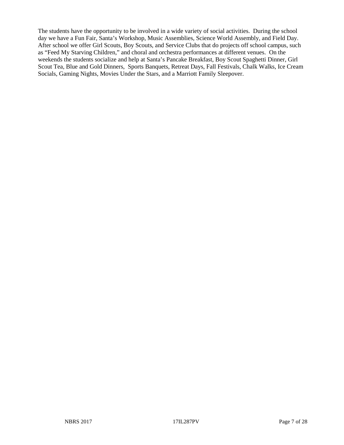The students have the opportunity to be involved in a wide variety of social activities. During the school day we have a Fun Fair, Santa's Workshop, Music Assemblies, Science World Assembly, and Field Day. After school we offer Girl Scouts, Boy Scouts, and Service Clubs that do projects off school campus, such as "Feed My Starving Children," and choral and orchestra performances at different venues. On the weekends the students socialize and help at Santa's Pancake Breakfast, Boy Scout Spaghetti Dinner, Girl Scout Tea, Blue and Gold Dinners, Sports Banquets, Retreat Days, Fall Festivals, Chalk Walks, Ice Cream Socials, Gaming Nights, Movies Under the Stars, and a Marriott Family Sleepover.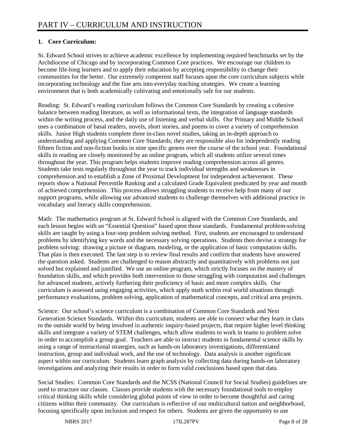# **1. Core Curriculum:**

St. Edward School strives to achieve academic excellence by implementing required benchmarks set by the Archdiocese of Chicago and by incorporating Common Core practices. We encourage our children to become life-long learners and to apply their education by accepting responsibility to change their communities for the better. Our extremely competent staff focuses upon the core curriculum subjects while incorporating technology and the fine arts into everyday teaching strategies. We create a learning environment that is both academically cultivating and emotionally safe for our students.

Reading: St. Edward's reading curriculum follows the Common Core Standards by creating a cohesive balance between reading literature, as well as informational texts, the integration of language standards within the writing process, and the daily use of listening and verbal skills. Our Primary and Middle School uses a combination of basal readers, novels, short stories, and poems to cover a variety of comprehension skills. Junior High students complete three in-class novel studies, taking an in-depth approach to understanding and applying Common Core Standards; they are responsible also for independently reading fifteen fiction and non-fiction books in nine specific genres over the course of the school year. Foundational skills in reading are closely monitored by an online program, which all students utilize several times throughout the year. This program helps students improve reading comprehension across all genres. Students take tests regularly throughout the year to track individual strengths and weaknesses in comprehension and to establish a Zone of Proximal Development for independent achievement. These reports show a National Percentile Ranking and a calculated Grade Equivalent predicated by year and month of achieved comprehension. This process allows struggling students to receive help from many of our support programs, while allowing our advanced students to challenge themselves with additional practice in vocabulary and literacy skills comprehension.

Math: The mathematics program at St. Edward School is aligned with the Common Core Standards, and each lesson begins with an "Essential Question" based upon those standards. Fundamental problem-solving skills are taught by using a four-step problem solving method. First, students are encouraged to understand problems by identifying key words and the necessary solving operations. Students then devise a strategy for problem solving: drawing a picture or diagram, modeling, or the application of basic computation skills. That plan is then executed. The last step is to review final results and confirm that students have answered the question asked. Students are challenged to reason abstractly and quantitatively with problems not just solved but explained and justified. We use an online program, which strictly focuses on the mastery of foundation skills, and which provides both intervention to those struggling with computation and challenges for advanced students, actively furthering their proficiency of basic and more complex skills. Our curriculum is assessed using engaging activities, which apply math within real world situations through performance evaluations, problem solving, application of mathematical concepts, and critical area projects.

Science: Our school's science curriculum is a combination of Common Core Standards and Next Generation Science Standards. Within this curriculum, students are able to connect what they learn in class to the outside world by being involved in authentic inquiry-based projects, that require higher level thinking skills and integrate a variety of STEM challenges, which allow students to work in teams to problem solve in order to accomplish a group goal. Teachers are able to instruct students in fundamental science skills by using a range of instructional strategies, such as hands-on laboratory investigations, differentiated instruction, group and individual work, and the use of technology. Data analysis is another significant aspect within our curriculum. Students learn graph analysis by collecting data during hands-on laboratory investigations and analyzing their results in order to form valid conclusions based upon that data.

Social Studies: Common Core Standards and the NCSS (National Council for Social Studies) guidelines are used to structure our classes. Classes provide students with the necessary foundational tools to employ critical thinking skills while considering global points of view in order to become thoughtful and caring citizens within their community. Our curriculum is reflective of our multicultural nation and neighborhood, focusing specifically upon inclusion and respect for others. Students are given the opportunity to use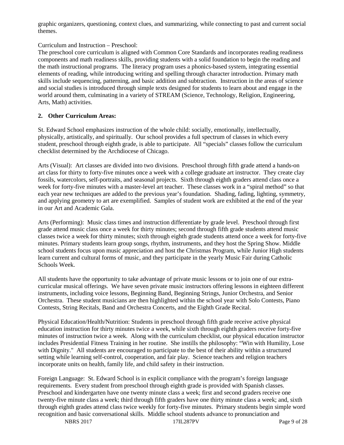graphic organizers, questioning, context clues, and summarizing, while connecting to past and current social themes.

Curriculum and Instruction – Preschool:

The preschool core curriculum is aligned with Common Core Standards and incorporates reading readiness components and math readiness skills, providing students with a solid foundation to begin the reading and the math instructional programs. The literacy program uses a phonics-based system, integrating essential elements of reading, while introducing writing and spelling through character introduction. Primary math skills include sequencing, patterning, and basic addition and subtraction. Instruction in the areas of science and social studies is introduced through simple texts designed for students to learn about and engage in the world around them, culminating in a variety of STREAM (Science, Technology, Religion, Engineering, Arts, Math) activities.

#### **2. Other Curriculum Areas:**

St. Edward School emphasizes instruction of the whole child: socially, emotionally, intellectually, physically, artistically, and spiritually. Our school provides a full spectrum of classes in which every student, preschool through eighth grade, is able to participate. All "specials" classes follow the curriculum checklist determined by the Archdiocese of Chicago.

Arts (Visual): Art classes are divided into two divisions. Preschool through fifth grade attend a hands-on art class for thirty to forty-five minutes once a week with a college graduate art instructor. They create clay fossils, watercolors, self-portraits, and seasonal projects. Sixth through eighth graders attend class once a week for forty-five minutes with a master-level art teacher. These classes work in a "spiral method" so that each year new techniques are added to the previous year's foundation. Shading, fading, lighting, symmetry, and applying geometry to art are exemplified. Samples of student work are exhibited at the end of the year in our Art and Academic Gala.

Arts (Performing): Music class times and instruction differentiate by grade level. Preschool through first grade attend music class once a week for thirty minutes; second through fifth grade students attend music classes twice a week for thirty minutes; sixth through eighth grade students attend once a week for forty-five minutes. Primary students learn group songs, rhythm, instruments, and they host the Spring Show. Middle school students focus upon music appreciation and host the Christmas Program, while Junior High students learn current and cultural forms of music, and they participate in the yearly Music Fair during Catholic Schools Week.

All students have the opportunity to take advantage of private music lessons or to join one of our extracurricular musical offerings. We have seven private music instructors offering lessons in eighteen different instruments, including voice lessons, Beginning Band, Beginning Strings, Junior Orchestra, and Senior Orchestra. These student musicians are then highlighted within the school year with Solo Contests, Piano Contests, String Recitals, Band and Orchestra Concerts, and the Eighth Grade Recital.

Physical Education/Health/Nutrition: Students in preschool through fifth grade receive active physical education instruction for thirty minutes twice a week, while sixth through eighth graders receive forty-five minutes of instruction twice a week. Along with the curriculum checklist, our physical education instructor includes Presidential Fitness Training in her routine. She instills the philosophy: "Win with Humility, Lose with Dignity." All students are encouraged to participate to the best of their ability within a structured setting while learning self-control, cooperation, and fair play. Science teachers and religion teachers incorporate units on health, family life, and child safety in their instruction.

Foreign Language: St. Edward School is in explicit compliance with the program's foreign language requirements. Every student from preschool through eighth grade is provided with Spanish classes. Preschool and kindergarten have one twenty minute class a week; first and second graders receive one twenty-five minute class a week; third through fifth graders have one thirty minute class a week; and, sixth through eighth grades attend class twice weekly for forty-five minutes. Primary students begin simple word recognition and basic conversational skills. Middle school students advance to pronunciation and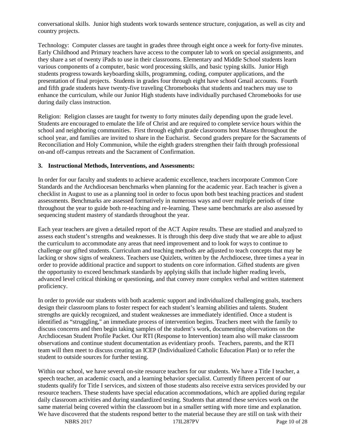conversational skills. Junior high students work towards sentence structure, conjugation, as well as city and country projects.

Technology: Computer classes are taught in grades three through eight once a week for forty-five minutes. Early Childhood and Primary teachers have access to the computer lab to work on special assignments, and they share a set of twenty iPads to use in their classrooms. Elementary and Middle School students learn various components of a computer, basic word processing skills, and basic typing skills. Junior High students progress towards keyboarding skills, programming, coding, computer applications, and the presentation of final projects. Students in grades four through eight have school Gmail accounts. Fourth and fifth grade students have twenty-five traveling Chromebooks that students and teachers may use to enhance the curriculum, while our Junior High students have individually purchased Chromebooks for use during daily class instruction.

Religion: Religion classes are taught for twenty to forty minutes daily depending upon the grade level. Students are encouraged to emulate the life of Christ and are required to complete service hours within the school and neighboring communities. First through eighth grade classrooms host Masses throughout the school year, and families are invited to share in the Eucharist. Second graders prepare for the Sacraments of Reconciliation and Holy Communion, while the eighth graders strengthen their faith through professional on-and off-campus retreats and the Sacrament of Confirmation.

#### **3. Instructional Methods, Interventions, and Assessments:**

In order for our faculty and students to achieve academic excellence, teachers incorporate Common Core Standards and the Archdiocesan benchmarks when planning for the academic year. Each teacher is given a checklist in August to use as a planning tool in order to focus upon both best teaching practices and student assessments. Benchmarks are assessed formatively in numerous ways and over multiple periods of time throughout the year to guide both re-teaching and re-learning. These same benchmarks are also assessed by sequencing student mastery of standards throughout the year.

Each year teachers are given a detailed report of the ACT Aspire results. These are studied and analyzed to assess each student's strengths and weaknesses. It is through this deep dive study that we are able to adjust the curriculum to accommodate any areas that need improvement and to look for ways to continue to challenge our gifted students. Curriculum and teaching methods are adjusted to teach concepts that may be lacking or show signs of weakness. Teachers use Quizlets, written by the Archdiocese, three times a year in order to provide additional practice and support to students on core information. Gifted students are given the opportunity to exceed benchmark standards by applying skills that include higher reading levels, advanced level critical thinking or questioning, and that convey more complex verbal and written statement proficiency.

In order to provide our students with both academic support and individualized challenging goals, teachers design their classroom plans to foster respect for each student's learning abilities and talents. Student strengths are quickly recognized, and student weaknesses are immediately identified. Once a student is identified as "struggling," an immediate process of intervention begins. Teachers meet with the family to discuss concerns and then begin taking samples of the student's work, documenting observations on the Archdiocesan Student Profile Packet. Our RTI (Response to Intervention) team also will make classroom observations and continue student documentation as evidentiary proofs. Teachers, parents, and the RTI team will then meet to discuss creating an ICEP (Individualized Catholic Education Plan) or to refer the student to outside sources for further testing.

Within our school, we have several on-site resource teachers for our students. We have a Title I teacher, a speech teacher, an academic coach, and a learning behavior specialist. Currently fifteen percent of our students qualify for Title I services, and sixteen of those students also receive extra services provided by our resource teachers. These students have special education accommodations, which are applied during regular daily classroom activities and during standardized testing. Students that attend these services work on the same material being covered within the classroom but in a smaller setting with more time and explanation. We have discovered that the students respond better to the material because they are still on task with their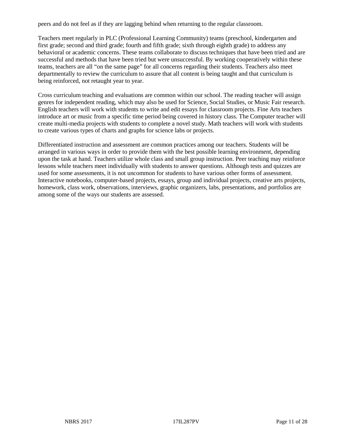peers and do not feel as if they are lagging behind when returning to the regular classroom.

Teachers meet regularly in PLC (Professional Learning Community) teams (preschool, kindergarten and first grade; second and third grade; fourth and fifth grade; sixth through eighth grade) to address any behavioral or academic concerns. These teams collaborate to discuss techniques that have been tried and are successful and methods that have been tried but were unsuccessful. By working cooperatively within these teams, teachers are all "on the same page" for all concerns regarding their students. Teachers also meet departmentally to review the curriculum to assure that all content is being taught and that curriculum is being reinforced, not retaught year to year.

Cross curriculum teaching and evaluations are common within our school. The reading teacher will assign genres for independent reading, which may also be used for Science, Social Studies, or Music Fair research. English teachers will work with students to write and edit essays for classroom projects. Fine Arts teachers introduce art or music from a specific time period being covered in history class. The Computer teacher will create multi-media projects with students to complete a novel study. Math teachers will work with students to create various types of charts and graphs for science labs or projects.

Differentiated instruction and assessment are common practices among our teachers. Students will be arranged in various ways in order to provide them with the best possible learning environment, depending upon the task at hand. Teachers utilize whole class and small group instruction. Peer teaching may reinforce lessons while teachers meet individually with students to answer questions. Although tests and quizzes are used for some assessments, it is not uncommon for students to have various other forms of assessment. Interactive notebooks, computer-based projects, essays, group and individual projects, creative arts projects, homework, class work, observations, interviews, graphic organizers, labs, presentations, and portfolios are among some of the ways our students are assessed.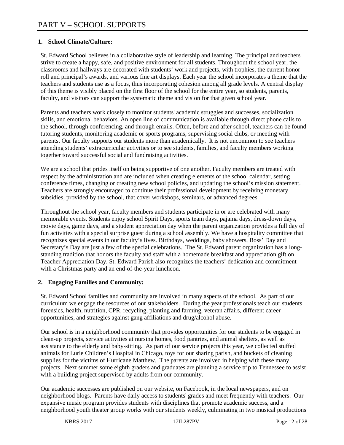#### **1. School Climate/Culture:**

St. Edward School believes in a collaborative style of leadership and learning. The principal and teachers strive to create a happy, safe, and positive environment for all students. Throughout the school year, the classrooms and hallways are decorated with students' work and projects, with trophies, the current honor roll and principal's awards, and various fine art displays. Each year the school incorporates a theme that the teachers and students use as a focus, thus incorporating cohesion among all grade levels. A central display of this theme is visibly placed on the first floor of the school for the entire year, so students, parents, faculty, and visitors can support the systematic theme and vision for that given school year.

Parents and teachers work closely to monitor students' academic struggles and successes, socialization skills, and emotional behaviors. An open line of communication is available through direct phone calls to the school, through conferencing, and through emails. Often, before and after school, teachers can be found tutoring students, monitoring academic or sports programs, supervising social clubs, or meeting with parents. Our faculty supports our students more than academically. It is not uncommon to see teachers attending students' extracurricular activities or to see students, families, and faculty members working together toward successful social and fundraising activities.

We are a school that prides itself on being supportive of one another. Faculty members are treated with respect by the administration and are included when creating elements of the school calendar, setting conference times, changing or creating new school policies, and updating the school's mission statement. Teachers are strongly encouraged to continue their professional development by receiving monetary subsidies, provided by the school, that cover workshops, seminars, or advanced degrees.

Throughout the school year, faculty members and students participate in or are celebrated with many memorable events. Students enjoy school Spirit Days, sports team days, pajama days, dress-down days, movie days, game days, and a student appreciation day when the parent organization provides a full day of fun activities with a special surprise guest during a school assembly. We have a hospitality committee that recognizes special events in our faculty's lives. Birthdays, weddings, baby showers, Boss' Day and Secretary's Day are just a few of the special celebrations. The St. Edward parent organization has a longstanding tradition that honors the faculty and staff with a homemade breakfast and appreciation gift on Teacher Appreciation Day. St. Edward Parish also recognizes the teachers' dedication and commitment with a Christmas party and an end-of-the-year luncheon.

#### **2. Engaging Families and Community:**

St. Edward School families and community are involved in many aspects of the school. As part of our curriculum we engage the resources of our stakeholders. During the year professionals teach our students forensics, health, nutrition, CPR, recycling, planting and farming, veteran affairs, different career opportunities, and strategies against gang affiliations and drug/alcohol abuse.

Our school is in a neighborhood community that provides opportunities for our students to be engaged in clean-up projects, service activities at nursing homes, food pantries, and animal shelters, as well as assistance to the elderly and baby-sitting. As part of our service projects this year, we collected stuffed animals for Lurie Children's Hospital in Chicago, toys for our sharing parish, and buckets of cleaning supplies for the victims of Hurricane Matthew. The parents are involved in helping with these many projects. Next summer some eighth graders and graduates are planning a service trip to Tennessee to assist with a building project supervised by adults from our community.

Our academic successes are published on our website, on Facebook, in the local newspapers, and on neighborhood blogs. Parents have daily access to students' grades and meet frequently with teachers. Our expansive music program provides students with disciplines that promote academic success, and a neighborhood youth theater group works with our students weekly, culminating in two musical productions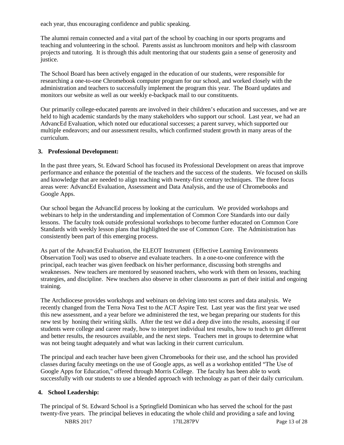each year, thus encouraging confidence and public speaking.

The alumni remain connected and a vital part of the school by coaching in our sports programs and teaching and volunteering in the school. Parents assist as lunchroom monitors and help with classroom projects and tutoring. It is through this adult mentoring that our students gain a sense of generosity and justice.

The School Board has been actively engaged in the education of our students, were responsible for researching a one-to-one Chromebook computer program for our school, and worked closely with the administration and teachers to successfully implement the program this year. The Board updates and monitors our website as well as our weekly e-backpack mail to our constituents.

Our primarily college-educated parents are involved in their children's education and successes, and we are held to high academic standards by the many stakeholders who support our school. Last year, we had an AdvancEd Evaluation, which noted our educational successes; a parent survey, which supported our multiple endeavors; and our assessment results, which confirmed student growth in many areas of the curriculum.

#### **3. Professional Development:**

In the past three years, St. Edward School has focused its Professional Development on areas that improve performance and enhance the potential of the teachers and the success of the students. We focused on skills and knowledge that are needed to align teaching with twenty-first century techniques. The three focus areas were: AdvancEd Evaluation, Assessment and Data Analysis, and the use of Chromebooks and Google Apps.

Our school began the AdvancEd process by looking at the curriculum. We provided workshops and webinars to help in the understanding and implementation of Common Core Standards into our daily lessons. The faculty took outside professional workshops to become further educated on Common Core Standards with weekly lesson plans that highlighted the use of Common Core. The Administration has consistently been part of this emerging process.

As part of the AdvancEd Evaluation, the ELEOT Instrument (Effective Learning Environments Observation Tool) was used to observe and evaluate teachers. In a one-to-one conference with the principal, each teacher was given feedback on his/her performance, discussing both strengths and weaknesses. New teachers are mentored by seasoned teachers, who work with them on lessons, teaching strategies, and discipline. New teachers also observe in other classrooms as part of their initial and ongoing training.

The Archdiocese provides workshops and webinars on delving into test scores and data analysis. We recently changed from the Terra Nova Test to the ACT Aspire Test. Last year was the first year we used this new assessment, and a year before we administered the test, we began preparing our students for this new test by honing their writing skills. After the test we did a deep dive into the results, assessing if our students were college and career ready, how to interpret individual test results, how to teach to get different and better results, the resources available, and the next steps. Teachers met in groups to determine what was not being taught adequately and what was lacking in their current curriculum.

The principal and each teacher have been given Chromebooks for their use, and the school has provided classes during faculty meetings on the use of Google apps, as well as a workshop entitled "The Use of Google Apps for Education," offered through Morris College. The faculty has been able to work successfully with our students to use a blended approach with technology as part of their daily curriculum.

#### **4. School Leadership:**

The principal of St. Edward School is a Springfield Dominican who has served the school for the past twenty-five years. The principal believes in educating the whole child and providing a safe and loving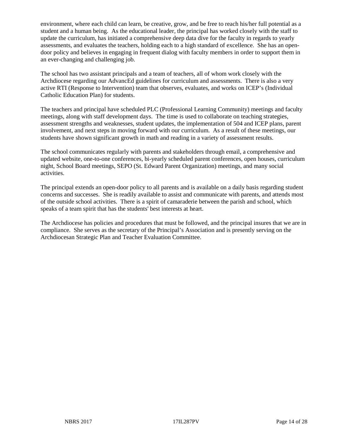environment, where each child can learn, be creative, grow, and be free to reach his/her full potential as a student and a human being. As the educational leader, the principal has worked closely with the staff to update the curriculum, has initiated a comprehensive deep data dive for the faculty in regards to yearly assessments, and evaluates the teachers, holding each to a high standard of excellence. She has an opendoor policy and believes in engaging in frequent dialog with faculty members in order to support them in an ever-changing and challenging job.

The school has two assistant principals and a team of teachers, all of whom work closely with the Archdiocese regarding our AdvancEd guidelines for curriculum and assessments. There is also a very active RTI (Response to Intervention) team that observes, evaluates, and works on ICEP's (Individual Catholic Education Plan) for students.

The teachers and principal have scheduled PLC (Professional Learning Community) meetings and faculty meetings, along with staff development days. The time is used to collaborate on teaching strategies, assessment strengths and weaknesses, student updates, the implementation of 504 and ICEP plans, parent involvement, and next steps in moving forward with our curriculum. As a result of these meetings, our students have shown significant growth in math and reading in a variety of assessment results.

The school communicates regularly with parents and stakeholders through email, a comprehensive and updated website, one-to-one conferences, bi-yearly scheduled parent conferences, open houses, curriculum night, School Board meetings, SEPO (St. Edward Parent Organization) meetings, and many social activities.

The principal extends an open-door policy to all parents and is available on a daily basis regarding student concerns and successes. She is readily available to assist and communicate with parents, and attends most of the outside school activities. There is a spirit of camaraderie between the parish and school, which speaks of a team spirit that has the students' best interests at heart.

The Archdiocese has policies and procedures that must be followed, and the principal insures that we are in compliance. She serves as the secretary of the Principal's Association and is presently serving on the Archdiocesan Strategic Plan and Teacher Evaluation Committee.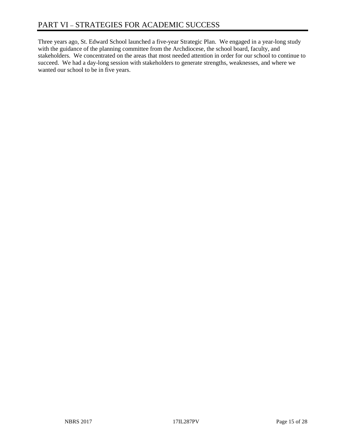Three years ago, St. Edward School launched a five-year Strategic Plan. We engaged in a year-long study with the guidance of the planning committee from the Archdiocese, the school board, faculty, and stakeholders. We concentrated on the areas that most needed attention in order for our school to continue to succeed. We had a day-long session with stakeholders to generate strengths, weaknesses, and where we wanted our school to be in five years.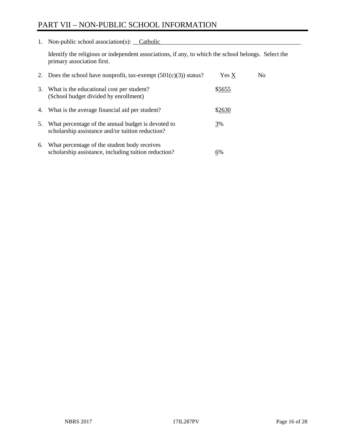# PART VII – NON-PUBLIC SCHOOL INFORMATION

1. Non-public school association(s): Catholic

Identify the religious or independent associations, if any, to which the school belongs. Select the primary association first.

| 2. | Does the school have nonprofit, tax-exempt $(501(c)(3))$ status?                                       | Yes X  | No. |
|----|--------------------------------------------------------------------------------------------------------|--------|-----|
| 3. | What is the educational cost per student?<br>(School budget divided by enrollment)                     | \$5655 |     |
| 4. | What is the average financial aid per student?                                                         | \$2630 |     |
| 5. | What percentage of the annual budget is devoted to<br>scholarship assistance and/or tuition reduction? | 3%     |     |
| 6. | What percentage of the student body receives<br>scholarship assistance, including tuition reduction?   | 6%     |     |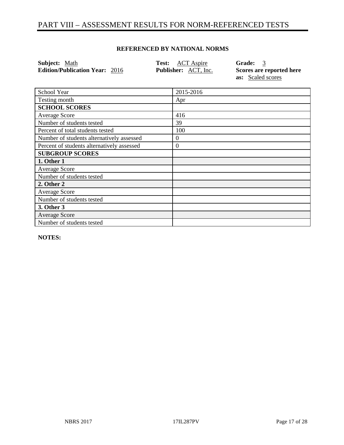# PART VIII – ASSESSMENT RESULTS FOR NORM-REFERENCED TESTS

#### **REFERENCED BY NATIONAL NORMS**

| <b>Subject:</b> Math                  | <b>Test:</b> ACT Aspire     | Grade: 3                 |
|---------------------------------------|-----------------------------|--------------------------|
| <b>Edition/Publication Year: 2016</b> | <b>Publisher:</b> ACT, Inc. | Scores are reported here |
|                                       |                             | <b>as:</b> Scaled scores |

| School Year                                | 2015-2016        |
|--------------------------------------------|------------------|
| Testing month                              | Apr              |
| <b>SCHOOL SCORES</b>                       |                  |
| <b>Average Score</b>                       | 416              |
| Number of students tested                  | 39               |
| Percent of total students tested           | 100              |
| Number of students alternatively assessed  | 0                |
| Percent of students alternatively assessed | $\boldsymbol{0}$ |
| <b>SUBGROUP SCORES</b>                     |                  |
| 1. Other 1                                 |                  |
| <b>Average Score</b>                       |                  |
| Number of students tested                  |                  |
| 2. Other 2                                 |                  |
| Average Score                              |                  |
| Number of students tested                  |                  |
| 3. Other 3                                 |                  |
| <b>Average Score</b>                       |                  |
| Number of students tested                  |                  |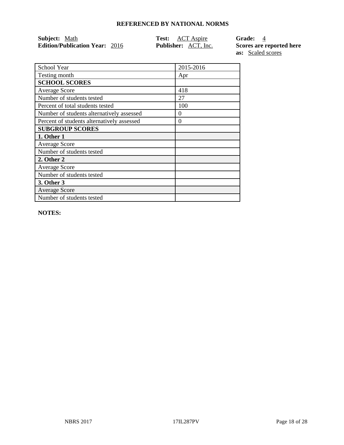| <b>Subject:</b> Math                  | <b>Test:</b> ACT Aspire     | <b>Grade:</b> 4          |
|---------------------------------------|-----------------------------|--------------------------|
| <b>Edition/Publication Year: 2016</b> | <b>Publisher:</b> ACT, Inc. | Scores are reported here |
|                                       |                             | <b>as:</b> Scaled scores |

| 2015-2016 |
|-----------|
|           |
| Apr       |
|           |
| 418       |
| 27        |
| 100       |
| 0         |
| 0         |
|           |
|           |
|           |
|           |
|           |
|           |
|           |
|           |
|           |
|           |
|           |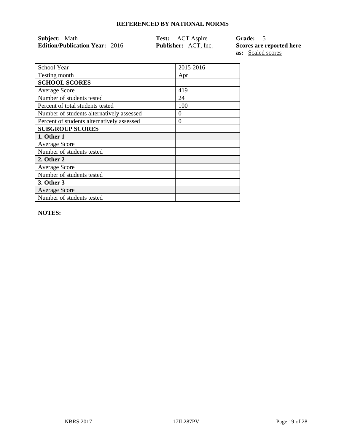| <b>Subject:</b> Math                  | <b>Test:</b> ACT Aspire     | Grade: 5                 |
|---------------------------------------|-----------------------------|--------------------------|
| <b>Edition/Publication Year: 2016</b> | <b>Publisher:</b> ACT, Inc. | Scores are reported here |
|                                       |                             | <b>as:</b> Scaled scores |

| School Year                                | 2015-2016 |
|--------------------------------------------|-----------|
| Testing month                              | Apr       |
| <b>SCHOOL SCORES</b>                       |           |
| <b>Average Score</b>                       | 419       |
| Number of students tested                  | 24        |
| Percent of total students tested           | 100       |
| Number of students alternatively assessed  | 0         |
| Percent of students alternatively assessed | 0         |
| <b>SUBGROUP SCORES</b>                     |           |
| 1. Other 1                                 |           |
| <b>Average Score</b>                       |           |
| Number of students tested                  |           |
| 2. Other 2                                 |           |
| <b>Average Score</b>                       |           |
| Number of students tested                  |           |
| 3. Other 3                                 |           |
| <b>Average Score</b>                       |           |
| Number of students tested                  |           |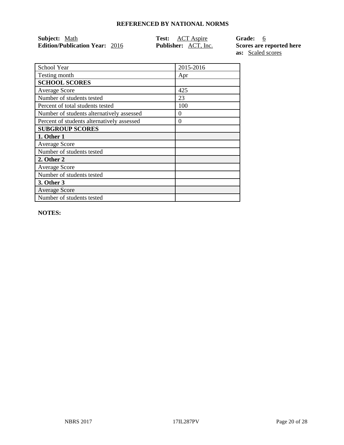| <b>Subject:</b> Math                  | <b>Test:</b> ACT Aspire     | Grade: 6                 |
|---------------------------------------|-----------------------------|--------------------------|
| <b>Edition/Publication Year: 2016</b> | <b>Publisher:</b> ACT, Inc. | Scores are reported here |
|                                       |                             | <b>as:</b> Scaled scores |

School Year 2015-2016 Testing month Apr **SCHOOL SCORES** Average Score 1425<br>
Number of students tested 23 Number of students tested Percent of total students tested 100 Number of students alternatively assessed 0 Percent of students alternatively assessed 0 **SUBGROUP SCORES 1. Other 1** Average Score Number of students tested **2. Other 2** Average Score Number of students tested **3. Other 3** Average Score Number of students tested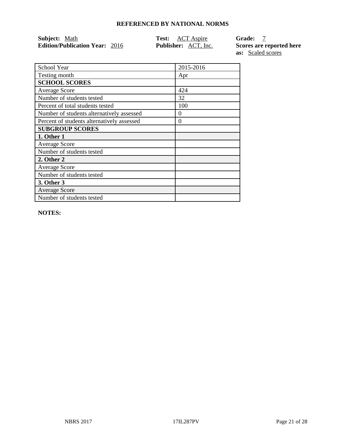| <b>Subject:</b> Math                  | <b>Test:</b> ACT Aspire     | Grade:                   |
|---------------------------------------|-----------------------------|--------------------------|
| <b>Edition/Publication Year: 2016</b> | <b>Publisher:</b> ACT, Inc. | Scores are reported here |
|                                       |                             | <b>as:</b> Scaled scores |

| School Year                                | 2015-2016 |
|--------------------------------------------|-----------|
| Testing month                              | Apr       |
| <b>SCHOOL SCORES</b>                       |           |
| <b>Average Score</b>                       | 424       |
| Number of students tested                  | 32        |
| Percent of total students tested           | 100       |
| Number of students alternatively assessed  | 0         |
| Percent of students alternatively assessed | 0         |
| <b>SUBGROUP SCORES</b>                     |           |
| 1. Other 1                                 |           |
| <b>Average Score</b>                       |           |
| Number of students tested                  |           |
| 2. Other 2                                 |           |
| Average Score                              |           |
| Number of students tested                  |           |
| 3. Other 3                                 |           |
| <b>Average Score</b>                       |           |
| Number of students tested                  |           |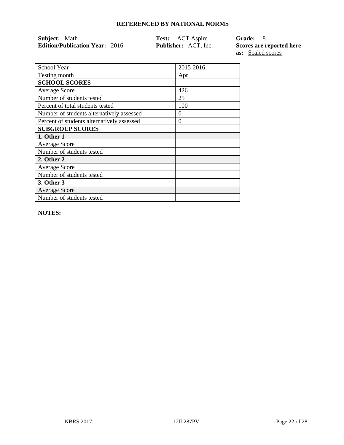| <b>Subject:</b> Math                  | <b>Test:</b> ACT Aspire     | Grade: 8                 |
|---------------------------------------|-----------------------------|--------------------------|
| <b>Edition/Publication Year: 2016</b> | <b>Publisher:</b> ACT, Inc. | Scores are reported here |
|                                       |                             | <b>as:</b> Scaled scores |

| School Year                                | 2015-2016 |
|--------------------------------------------|-----------|
| Testing month                              | Apr       |
| <b>SCHOOL SCORES</b>                       |           |
| <b>Average Score</b>                       | 426       |
| Number of students tested                  | 25        |
| Percent of total students tested           | 100       |
| Number of students alternatively assessed  | $^{(1)}$  |
| Percent of students alternatively assessed | $\theta$  |
| <b>SUBGROUP SCORES</b>                     |           |
| 1. Other 1                                 |           |
| <b>Average Score</b>                       |           |
| Number of students tested                  |           |
| 2. Other 2                                 |           |
| <b>Average Score</b>                       |           |
| Number of students tested                  |           |
| 3. Other 3                                 |           |
| <b>Average Score</b>                       |           |
| Number of students tested                  |           |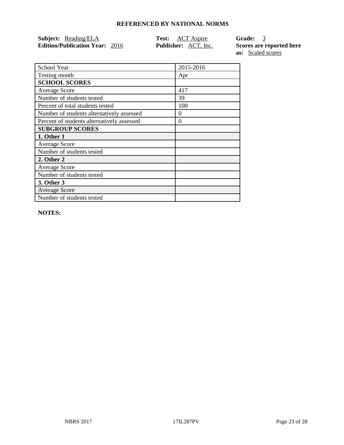| <b>Subject:</b> Reading/ELA           | <b>Test:</b> ACT Aspire     | Grade: 3                 |
|---------------------------------------|-----------------------------|--------------------------|
| <b>Edition/Publication Year: 2016</b> | <b>Publisher:</b> ACT, Inc. | Scores are reported here |

**as:** Scaled scores

| School Year                                | 2015-2016 |
|--------------------------------------------|-----------|
| Testing month                              | Apr       |
| <b>SCHOOL SCORES</b>                       |           |
| <b>Average Score</b>                       | 417       |
| Number of students tested                  | 39        |
| Percent of total students tested           | 100       |
| Number of students alternatively assessed  | 0         |
| Percent of students alternatively assessed | 0         |
| <b>SUBGROUP SCORES</b>                     |           |
| 1. Other 1                                 |           |
| <b>Average Score</b>                       |           |
| Number of students tested                  |           |
| 2. Other 2                                 |           |
| <b>Average Score</b>                       |           |
| Number of students tested                  |           |
| 3. Other 3                                 |           |
| <b>Average Score</b>                       |           |
| Number of students tested                  |           |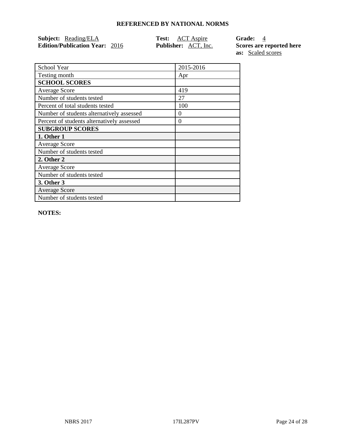| <b>Subject:</b> Reading/ELA           | <b>Test:</b> ACT Aspire     | Grade: 4                 |
|---------------------------------------|-----------------------------|--------------------------|
| <b>Edition/Publication Year: 2016</b> | <b>Publisher:</b> ACT, Inc. | Scores are reported here |

**as:** Scaled scores

| School Year                                | 2015-2016 |
|--------------------------------------------|-----------|
| Testing month                              | Apr       |
| <b>SCHOOL SCORES</b>                       |           |
| <b>Average Score</b>                       | 419       |
| Number of students tested                  | 27        |
| Percent of total students tested           | 100       |
| Number of students alternatively assessed  | 0         |
| Percent of students alternatively assessed | 0         |
| <b>SUBGROUP SCORES</b>                     |           |
| 1. Other 1                                 |           |
| <b>Average Score</b>                       |           |
| Number of students tested                  |           |
| 2. Other 2                                 |           |
| <b>Average Score</b>                       |           |
| Number of students tested                  |           |
| 3. Other 3                                 |           |
| <b>Average Score</b>                       |           |
| Number of students tested                  |           |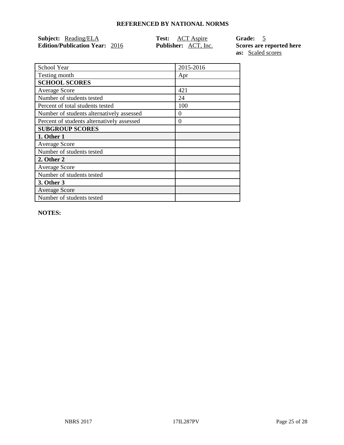| Subject: Reading/ELA                  | <b>Test:</b> ACT Aspire     | Grade: 5                 |
|---------------------------------------|-----------------------------|--------------------------|
| <b>Edition/Publication Year: 2016</b> | <b>Publisher:</b> ACT, Inc. | Scores are reported here |

**as:** Scaled scores

| School Year                                | 2015-2016 |
|--------------------------------------------|-----------|
| Testing month                              | Apr       |
| <b>SCHOOL SCORES</b>                       |           |
| <b>Average Score</b>                       | 421       |
| Number of students tested                  | 24        |
| Percent of total students tested           | 100       |
| Number of students alternatively assessed  | 0         |
| Percent of students alternatively assessed | $\theta$  |
| <b>SUBGROUP SCORES</b>                     |           |
| 1. Other 1                                 |           |
| <b>Average Score</b>                       |           |
| Number of students tested                  |           |
| 2. Other 2                                 |           |
| <b>Average Score</b>                       |           |
| Number of students tested                  |           |
| 3. Other 3                                 |           |
| <b>Average Score</b>                       |           |
| Number of students tested                  |           |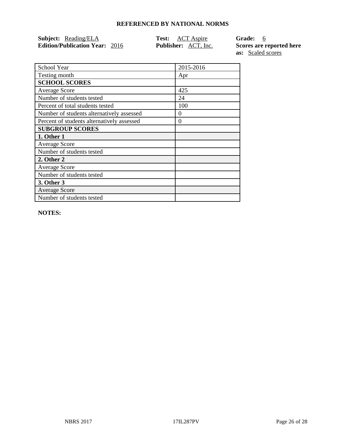| <b>Subject:</b> Reading/ELA           | <b>Test:</b> ACT Aspire     | Grade: 6                 |
|---------------------------------------|-----------------------------|--------------------------|
| <b>Edition/Publication Year: 2016</b> | <b>Publisher:</b> ACT, Inc. | Scores are reported here |

**as:** Scaled scores

| School Year                                | 2015-2016 |
|--------------------------------------------|-----------|
| Testing month                              | Apr       |
| <b>SCHOOL SCORES</b>                       |           |
| <b>Average Score</b>                       | 425       |
| Number of students tested                  | 24        |
| Percent of total students tested           | 100       |
| Number of students alternatively assessed  | 0         |
| Percent of students alternatively assessed | 0         |
| <b>SUBGROUP SCORES</b>                     |           |
| 1. Other 1                                 |           |
| <b>Average Score</b>                       |           |
| Number of students tested                  |           |
| 2. Other 2                                 |           |
| <b>Average Score</b>                       |           |
| Number of students tested                  |           |
| 3. Other 3                                 |           |
| <b>Average Score</b>                       |           |
| Number of students tested                  |           |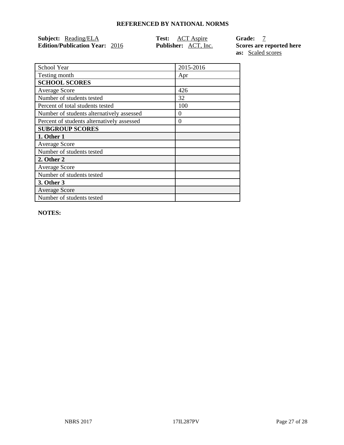| <b>Subject:</b> Reading/ELA           | <b>Test:</b> ACT Aspire     | <b>Grade:</b>  |
|---------------------------------------|-----------------------------|----------------|
| <b>Edition/Publication Year: 2016</b> | <b>Publisher:</b> ACT, Inc. | Scores are rep |

**Ed here as:** Scaled scores

| School Year                                | 2015-2016 |
|--------------------------------------------|-----------|
| Testing month                              | Apr       |
| <b>SCHOOL SCORES</b>                       |           |
| <b>Average Score</b>                       | 426       |
| Number of students tested                  | 32        |
| Percent of total students tested           | 100       |
| Number of students alternatively assessed  | $\Omega$  |
| Percent of students alternatively assessed | 0         |
| <b>SUBGROUP SCORES</b>                     |           |
| 1. Other 1                                 |           |
| <b>Average Score</b>                       |           |
| Number of students tested                  |           |
| 2. Other 2                                 |           |
| <b>Average Score</b>                       |           |
| Number of students tested                  |           |
| 3. Other 3                                 |           |
| <b>Average Score</b>                       |           |
| Number of students tested                  |           |